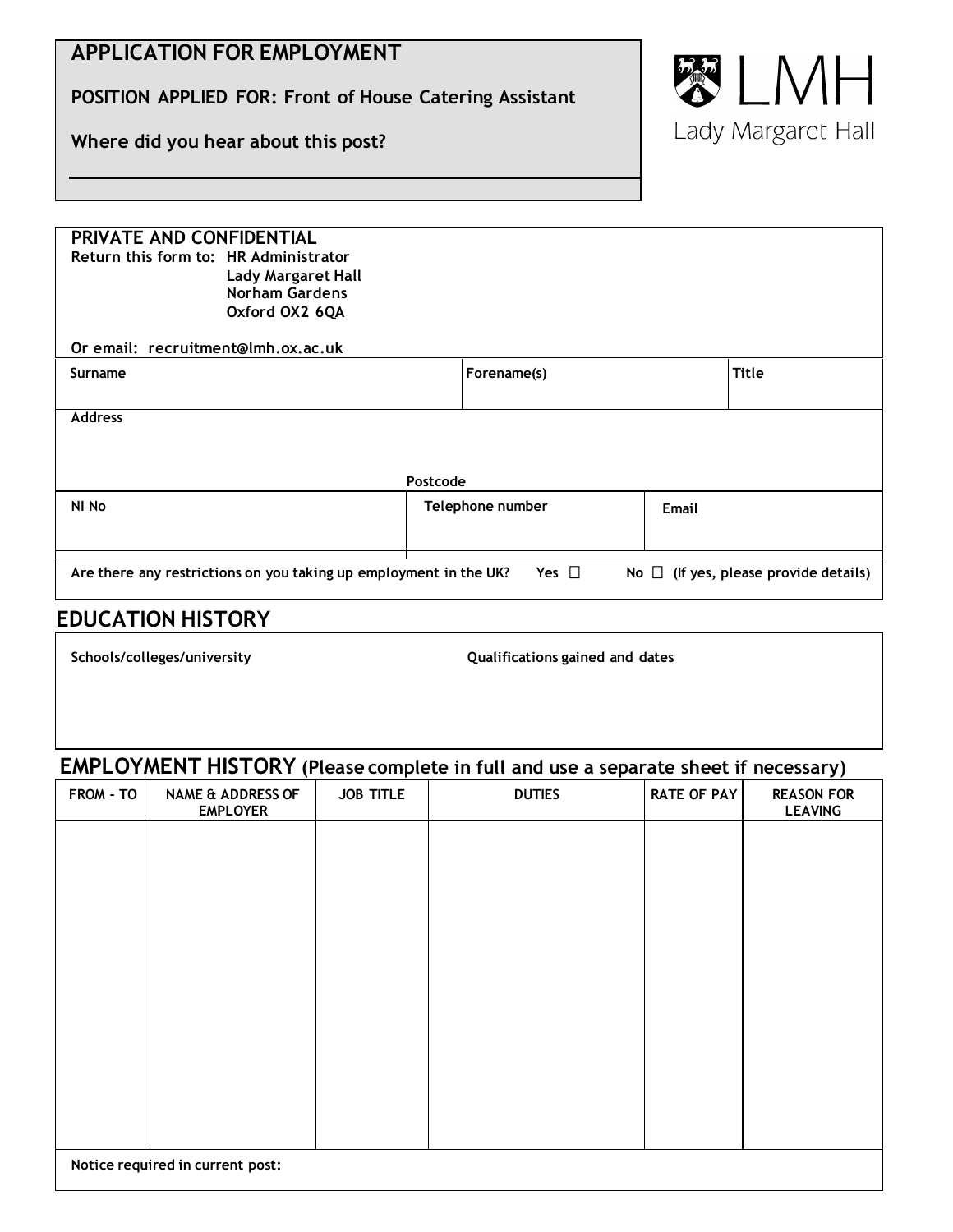# **APPLICATION FOR EMPLOYMENT**

**POSITION APPLIED FOR: Front of House Catering Assistant**

**Where did you hear about this post?**



| PRIVATE AND CONFIDENTIAL                                                                                                      |                  |             |       |              |  |  |  |
|-------------------------------------------------------------------------------------------------------------------------------|------------------|-------------|-------|--------------|--|--|--|
| Return this form to: HR Administrator                                                                                         |                  |             |       |              |  |  |  |
| <b>Lady Margaret Hall</b>                                                                                                     |                  |             |       |              |  |  |  |
| <b>Norham Gardens</b>                                                                                                         |                  |             |       |              |  |  |  |
| Oxford OX2 6QA                                                                                                                |                  |             |       |              |  |  |  |
|                                                                                                                               |                  |             |       |              |  |  |  |
| Or email: recruitment@lmh.ox.ac.uk                                                                                            |                  |             |       |              |  |  |  |
| Surname                                                                                                                       |                  | Forename(s) |       | <b>Title</b> |  |  |  |
|                                                                                                                               |                  |             |       |              |  |  |  |
|                                                                                                                               |                  |             |       |              |  |  |  |
| <b>Address</b>                                                                                                                |                  |             |       |              |  |  |  |
|                                                                                                                               |                  |             |       |              |  |  |  |
|                                                                                                                               |                  |             |       |              |  |  |  |
|                                                                                                                               |                  |             |       |              |  |  |  |
| Postcode                                                                                                                      |                  |             |       |              |  |  |  |
| NI No                                                                                                                         | Telephone number |             | Email |              |  |  |  |
|                                                                                                                               |                  |             |       |              |  |  |  |
|                                                                                                                               |                  |             |       |              |  |  |  |
|                                                                                                                               |                  |             |       |              |  |  |  |
| Yes $\Box$<br>Are there any restrictions on you taking up employment in the UK?<br>No $\Box$ (If yes, please provide details) |                  |             |       |              |  |  |  |
|                                                                                                                               |                  |             |       |              |  |  |  |

# **EDUCATION HISTORY**

**Schools/colleges/university Qualifications gained and dates**

# **EMPLOYMENT HISTORY (Please complete in full and use a separate sheet if necessary)**

| FROM - TO | <b>NAME &amp; ADDRESS OF</b><br><b>EMPLOYER</b> | <b>JOB TITLE</b> | <b>DUTIES</b> | <b>RATE OF PAY</b> | <b>REASON FOR</b><br><b>LEAVING</b> |
|-----------|-------------------------------------------------|------------------|---------------|--------------------|-------------------------------------|
|           |                                                 |                  |               |                    |                                     |
|           |                                                 |                  |               |                    |                                     |
|           |                                                 |                  |               |                    |                                     |
|           |                                                 |                  |               |                    |                                     |
|           |                                                 |                  |               |                    |                                     |
|           |                                                 |                  |               |                    |                                     |
|           |                                                 |                  |               |                    |                                     |
|           |                                                 |                  |               |                    |                                     |
|           | Notice required in current post:                |                  |               |                    |                                     |